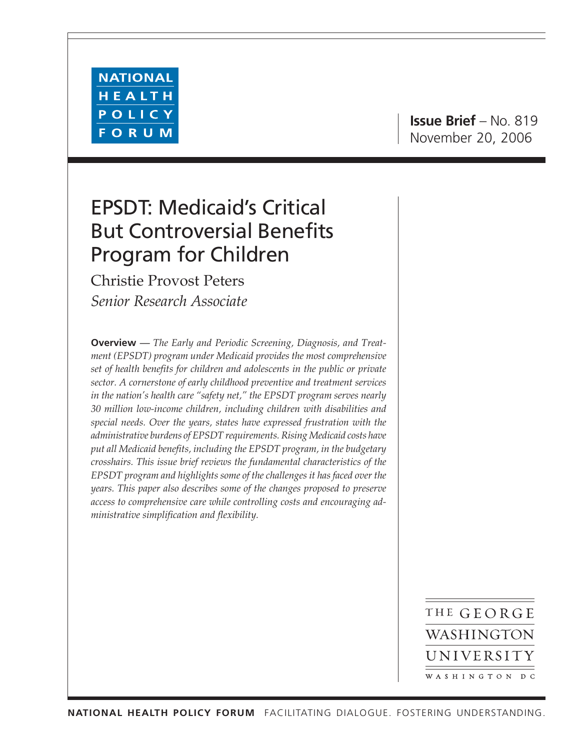

# EPSDT: Medicaid's Critical But Controversial Benefits Program for Children

Christie Provost Peters *Senior Research Associate*

**Overview** *— The Early and Periodic Screening, Diagnosis, and Treatment (EPSDT) program under Medicaid provides the most comprehensive set of health benefits for children and adolescents in the public or private sector. A cornerstone of early childhood preventive and treatment services in the nation's health care "safety net," the EPSDT program serves nearly 30 million low-income children, including children with disabilities and special needs. Over the years, states have expressed frustration with the administrative burdens of EPSDT requirements. Rising Medicaid costs have put all Medicaid benefits, including the EPSDT program, in the budgetary crosshairs. This issue brief reviews the fundamental characteristics of the EPSDT program and highlights some of the challenges it has faced over the years. This paper also describes some of the changes proposed to preserve access to comprehensive care while controlling costs and encouraging administrative simplification and flexibility.*

> THE GEORGE WASHINGTON UNIVERSITY WASHINGTON DC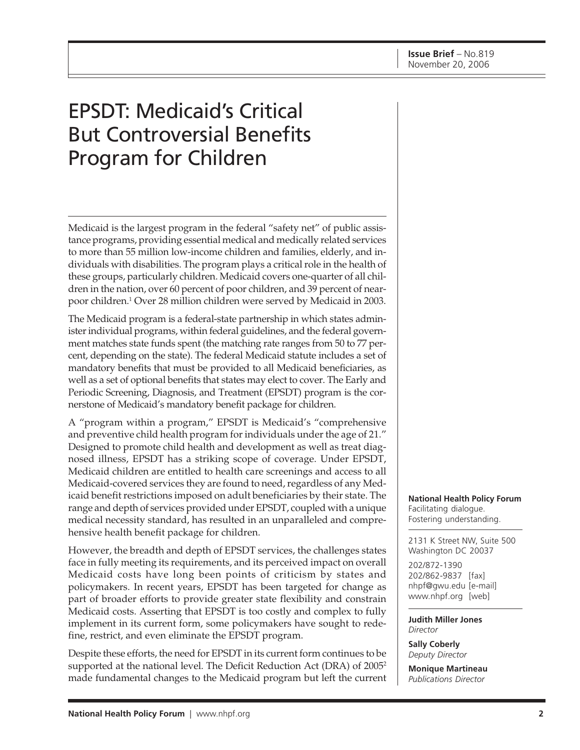# EPSDT: Medicaid's Critical But Controversial Benefits Program for Children

Medicaid is the largest program in the federal "safety net" of public assistance programs, providing essential medical and medically related services to more than 55 million low-income children and families, elderly, and individuals with disabilities. The program plays a critical role in the health of these groups, particularly children. Medicaid covers one-quarter of all children in the nation, over 60 percent of poor children, and 39 percent of nearpoor children.1 Over 28 million children were served by Medicaid in 2003.

The Medicaid program is a federal-state partnership in which states administer individual programs, within federal guidelines, and the federal government matches state funds spent (the matching rate ranges from 50 to 77 percent, depending on the state). The federal Medicaid statute includes a set of mandatory benefits that must be provided to all Medicaid beneficiaries, as well as a set of optional benefits that states may elect to cover. The Early and Periodic Screening, Diagnosis, and Treatment (EPSDT) program is the cornerstone of Medicaid's mandatory benefit package for children.

A "program within a program," EPSDT is Medicaid's "comprehensive and preventive child health program for individuals under the age of 21." Designed to promote child health and development as well as treat diagnosed illness, EPSDT has a striking scope of coverage. Under EPSDT, Medicaid children are entitled to health care screenings and access to all Medicaid-covered services they are found to need, regardless of any Medicaid benefit restrictions imposed on adult beneficiaries by their state. The range and depth of services provided under EPSDT, coupled with a unique medical necessity standard, has resulted in an unparalleled and comprehensive health benefit package for children.

However, the breadth and depth of EPSDT services, the challenges states face in fully meeting its requirements, and its perceived impact on overall Medicaid costs have long been points of criticism by states and policymakers. In recent years, EPSDT has been targeted for change as part of broader efforts to provide greater state flexibility and constrain Medicaid costs. Asserting that EPSDT is too costly and complex to fully implement in its current form, some policymakers have sought to redefine, restrict, and even eliminate the EPSDT program.

Despite these efforts, the need for EPSDT in its current form continues to be supported at the national level. The Deficit Reduction Act (DRA) of 20052 made fundamental changes to the Medicaid program but left the current **National Health Policy Forum** Facilitating dialogue. Fostering understanding.

2131 K Street NW, Suite 500 Washington DC 20037

202/872-1390 202/862-9837 [fax] nhpf@gwu.edu [e-mail] www.nhpf.org [web]

**Judith Miller Jones** *Director*

**Sally Coberly** *Deputy Director*

**Monique Martineau** *Publications Director*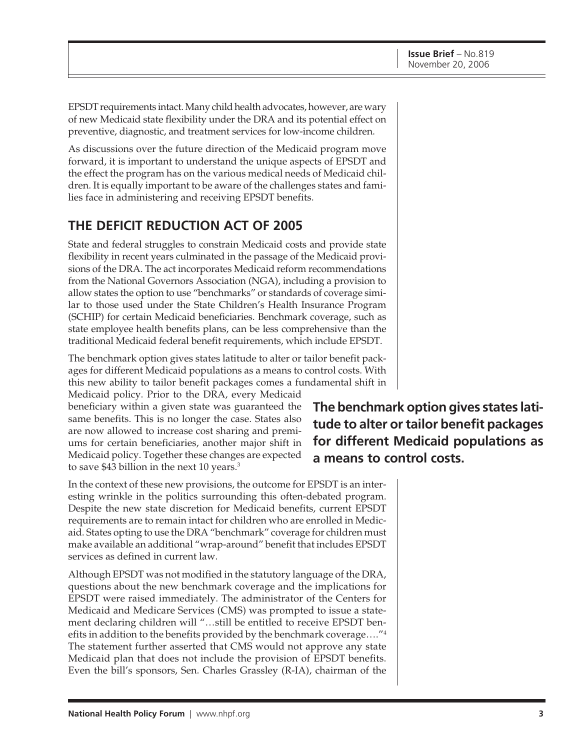EPSDT requirements intact. Many child health advocates, however, are wary of new Medicaid state flexibility under the DRA and its potential effect on preventive, diagnostic, and treatment services for low-income children.

As discussions over the future direction of the Medicaid program move forward, it is important to understand the unique aspects of EPSDT and the effect the program has on the various medical needs of Medicaid children. It is equally important to be aware of the challenges states and families face in administering and receiving EPSDT benefits.

## **THE DEFICIT REDUCTION ACT OF 2005**

State and federal struggles to constrain Medicaid costs and provide state flexibility in recent years culminated in the passage of the Medicaid provisions of the DRA. The act incorporates Medicaid reform recommendations from the National Governors Association (NGA), including a provision to allow states the option to use "benchmarks" or standards of coverage similar to those used under the State Children's Health Insurance Program (SCHIP) for certain Medicaid beneficiaries. Benchmark coverage, such as state employee health benefits plans, can be less comprehensive than the traditional Medicaid federal benefit requirements, which include EPSDT.

The benchmark option gives states latitude to alter or tailor benefit packages for different Medicaid populations as a means to control costs. With this new ability to tailor benefit packages comes a fundamental shift in

Medicaid policy. Prior to the DRA, every Medicaid beneficiary within a given state was guaranteed the same benefits. This is no longer the case. States also are now allowed to increase cost sharing and premiums for certain beneficiaries, another major shift in Medicaid policy. Together these changes are expected to save \$43 billion in the next 10 years.<sup>3</sup>

In the context of these new provisions, the outcome for EPSDT is an interesting wrinkle in the politics surrounding this often-debated program. Despite the new state discretion for Medicaid benefits, current EPSDT requirements are to remain intact for children who are enrolled in Medicaid. States opting to use the DRA "benchmark" coverage for children must make available an additional "wrap-around" benefit that includes EPSDT services as defined in current law.

Although EPSDT was not modified in the statutory language of the DRA, questions about the new benchmark coverage and the implications for EPSDT were raised immediately. The administrator of the Centers for Medicaid and Medicare Services (CMS) was prompted to issue a statement declaring children will "…still be entitled to receive EPSDT benefits in addition to the benefits provided by the benchmark coverage…."4 The statement further asserted that CMS would not approve any state Medicaid plan that does not include the provision of EPSDT benefits. Even the bill's sponsors, Sen. Charles Grassley (R-IA), chairman of the

**The benchmark option gives states latitude to alter or tailor benefit packages for different Medicaid populations as a means to control costs.**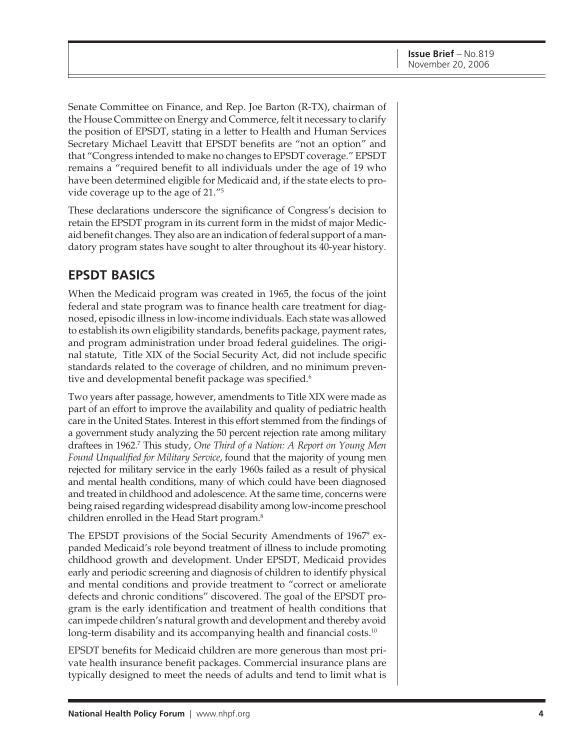Senate Committee on Finance, and Rep. Joe Barton (R-TX), chairman of the House Committee on Energy and Commerce, felt it necessary to clarify the position of EPSDT, stating in a letter to Health and Human Services Secretary Michael Leavitt that EPSDT benefits are "not an option" and that "Congress intended to make no changes to EPSDT coverage." EPSDT remains a "required benefit to all individuals under the age of 19 who have been determined eligible for Medicaid and, if the state elects to provide coverage up to the age of 21."5

These declarations underscore the significance of Congress's decision to retain the EPSDT program in its current form in the midst of major Medicaid benefit changes. They also are an indication of federal support of a mandatory program states have sought to alter throughout its 40-year history.

## **EPSDT BASICS**

When the Medicaid program was created in 1965, the focus of the joint federal and state program was to finance health care treatment for diagnosed, episodic illness in low-income individuals. Each state was allowed to establish its own eligibility standards, benefits package, payment rates, and program administration under broad federal guidelines. The original statute, Title XIX of the Social Security Act, did not include specific standards related to the coverage of children, and no minimum preventive and developmental benefit package was specified.<sup>6</sup>

Two years after passage, however, amendments to Title XIX were made as part of an effort to improve the availability and quality of pediatric health care in the United States. Interest in this effort stemmed from the findings of a government study analyzing the 50 percent rejection rate among military draftees in 1962.7 This study, *One Third of a Nation: A Report on Young Men Found Unqualified for Military Service*, found that the majority of young men rejected for military service in the early 1960s failed as a result of physical and mental health conditions, many of which could have been diagnosed and treated in childhood and adolescence. At the same time, concerns were being raised regarding widespread disability among low-income preschool children enrolled in the Head Start program.8

The EPSDT provisions of the Social Security Amendments of 1967<sup>9</sup> expanded Medicaid's role beyond treatment of illness to include promoting childhood growth and development. Under EPSDT, Medicaid provides early and periodic screening and diagnosis of children to identify physical and mental conditions and provide treatment to "correct or ameliorate defects and chronic conditions" discovered. The goal of the EPSDT program is the early identification and treatment of health conditions that can impede children's natural growth and development and thereby avoid long-term disability and its accompanying health and financial costs.<sup>10</sup>

EPSDT benefits for Medicaid children are more generous than most private health insurance benefit packages. Commercial insurance plans are typically designed to meet the needs of adults and tend to limit what is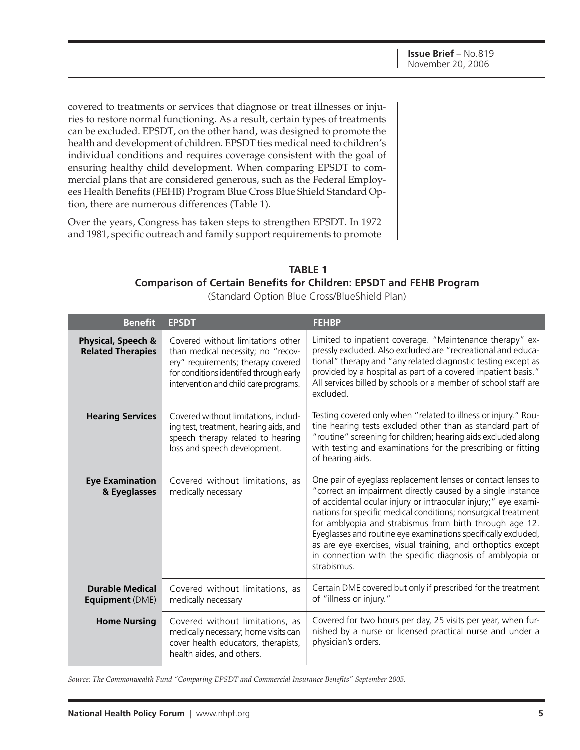covered to treatments or services that diagnose or treat illnesses or injuries to restore normal functioning. As a result, certain types of treatments can be excluded. EPSDT, on the other hand, was designed to promote the health and development of children. EPSDT ties medical need to children's individual conditions and requires coverage consistent with the goal of ensuring healthy child development. When comparing EPSDT to commercial plans that are considered generous, such as the Federal Employees Health Benefits (FEHB) Program Blue Cross Blue Shield Standard Option, there are numerous differences (Table 1).

Over the years, Congress has taken steps to strengthen EPSDT. In 1972 and 1981, specific outreach and family support requirements to promote

#### **Comparison of Certain Benefits for Children: EPSDT and FEHB Program TABLE 1**

(Standard Option Blue Cross/BlueShield Plan)

| <b>Benefit</b>                                   | <b>EPSDT</b>                                                                                                                                                                                     | <b>FEHBP</b>                                                                                                                                                                                                                                                                                                                                                                                                                                                                                                                             |  |
|--------------------------------------------------|--------------------------------------------------------------------------------------------------------------------------------------------------------------------------------------------------|------------------------------------------------------------------------------------------------------------------------------------------------------------------------------------------------------------------------------------------------------------------------------------------------------------------------------------------------------------------------------------------------------------------------------------------------------------------------------------------------------------------------------------------|--|
| Physical, Speech &<br><b>Related Therapies</b>   | Covered without limitations other<br>than medical necessity; no "recov-<br>ery" requirements; therapy covered<br>for conditions identifed through early<br>intervention and child care programs. | Limited to inpatient coverage. "Maintenance therapy" ex-<br>pressly excluded. Also excluded are "recreational and educa-<br>tional" therapy and "any related diagnostic testing except as<br>provided by a hospital as part of a covered inpatient basis."<br>All services billed by schools or a member of school staff are<br>excluded.                                                                                                                                                                                                |  |
| <b>Hearing Services</b>                          | Covered without limitations, includ-<br>ing test, treatment, hearing aids, and<br>speech therapy related to hearing<br>loss and speech development.                                              | Testing covered only when "related to illness or injury." Rou-<br>tine hearing tests excluded other than as standard part of<br>"routine" screening for children; hearing aids excluded along<br>with testing and examinations for the prescribing or fitting<br>of hearing aids.                                                                                                                                                                                                                                                        |  |
| <b>Eye Examination</b><br>& Eyeglasses           | Covered without limitations, as<br>medically necessary                                                                                                                                           | One pair of eyeglass replacement lenses or contact lenses to<br>"correct an impairment directly caused by a single instance<br>of accidental ocular injury or intraocular injury;" eye exami-<br>nations for specific medical conditions; nonsurgical treatment<br>for amblyopia and strabismus from birth through age 12.<br>Eyeglasses and routine eye examinations specifically excluded,<br>as are eye exercises, visual training, and orthoptics except<br>in connection with the specific diagnosis of amblyopia or<br>strabismus. |  |
| <b>Durable Medical</b><br><b>Equipment (DME)</b> | Covered without limitations, as<br>medically necessary                                                                                                                                           | Certain DME covered but only if prescribed for the treatment<br>of "illness or injury."                                                                                                                                                                                                                                                                                                                                                                                                                                                  |  |
| <b>Home Nursing</b>                              | Covered without limitations, as<br>medically necessary; home visits can<br>cover health educators, therapists,<br>health aides, and others.                                                      | Covered for two hours per day, 25 visits per year, when fur-<br>nished by a nurse or licensed practical nurse and under a<br>physician's orders.                                                                                                                                                                                                                                                                                                                                                                                         |  |

*Source: The Commonwealth Fund "Comparing EPSDT and Commercial Insurance Benefits" September 2005.*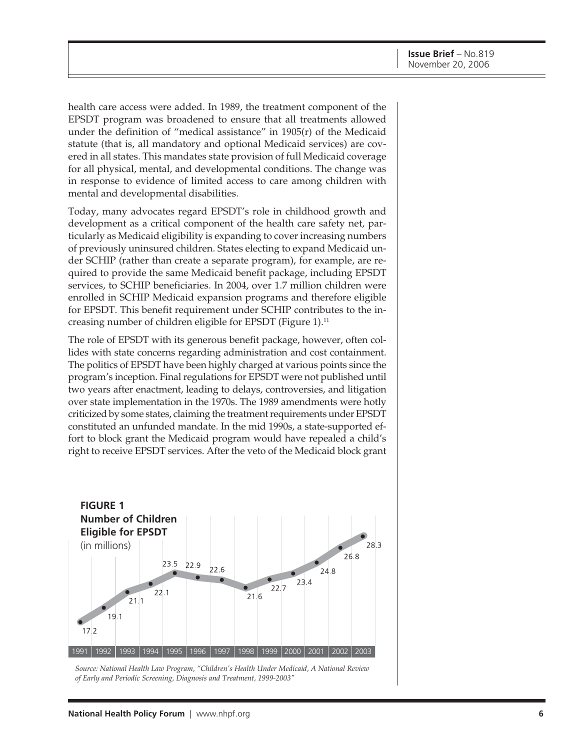health care access were added. In 1989, the treatment component of the EPSDT program was broadened to ensure that all treatments allowed under the definition of "medical assistance" in 1905(r) of the Medicaid statute (that is, all mandatory and optional Medicaid services) are covered in all states. This mandates state provision of full Medicaid coverage for all physical, mental, and developmental conditions. The change was in response to evidence of limited access to care among children with mental and developmental disabilities.

Today, many advocates regard EPSDT's role in childhood growth and development as a critical component of the health care safety net, particularly as Medicaid eligibility is expanding to cover increasing numbers of previously uninsured children. States electing to expand Medicaid under SCHIP (rather than create a separate program), for example, are required to provide the same Medicaid benefit package, including EPSDT services, to SCHIP beneficiaries. In 2004, over 1.7 million children were enrolled in SCHIP Medicaid expansion programs and therefore eligible for EPSDT. This benefit requirement under SCHIP contributes to the increasing number of children eligible for EPSDT (Figure 1).11

The role of EPSDT with its generous benefit package, however, often collides with state concerns regarding administration and cost containment. The politics of EPSDT have been highly charged at various points since the program's inception. Final regulations for EPSDT were not published until two years after enactment, leading to delays, controversies, and litigation over state implementation in the 1970s. The 1989 amendments were hotly criticized by some states, claiming the treatment requirements under EPSDT constituted an unfunded mandate. In the mid 1990s, a state-supported effort to block grant the Medicaid program would have repealed a child's right to receive EPSDT services. After the veto of the Medicaid block grant



*Source: National Health Law Program, "Children's Health Under Medicaid, A National Review of Early and Periodic Screening, Diagnosis and Treatment, 1999-2003"*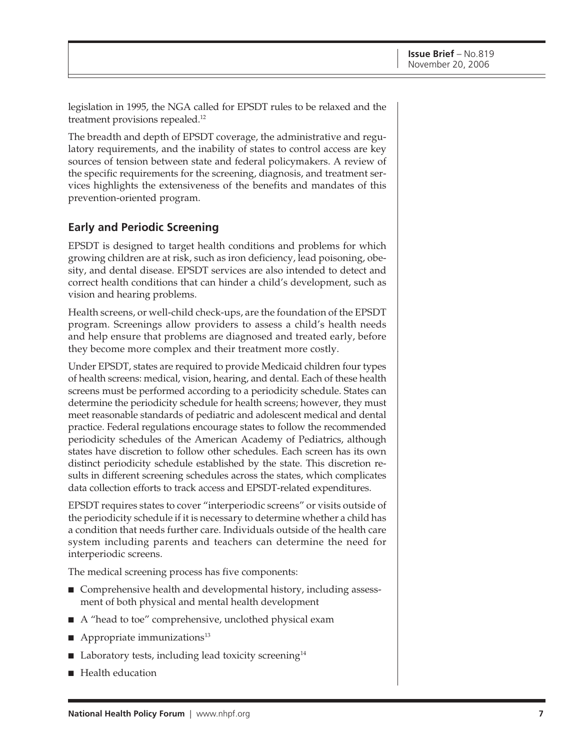legislation in 1995, the NGA called for EPSDT rules to be relaxed and the treatment provisions repealed.12

The breadth and depth of EPSDT coverage, the administrative and regulatory requirements, and the inability of states to control access are key sources of tension between state and federal policymakers. A review of the specific requirements for the screening, diagnosis, and treatment services highlights the extensiveness of the benefits and mandates of this prevention-oriented program.

#### **Early and Periodic Screening**

EPSDT is designed to target health conditions and problems for which growing children are at risk, such as iron deficiency, lead poisoning, obesity, and dental disease. EPSDT services are also intended to detect and correct health conditions that can hinder a child's development, such as vision and hearing problems.

Health screens, or well-child check-ups, are the foundation of the EPSDT program. Screenings allow providers to assess a child's health needs and help ensure that problems are diagnosed and treated early, before they become more complex and their treatment more costly.

Under EPSDT, states are required to provide Medicaid children four types of health screens: medical, vision, hearing, and dental. Each of these health screens must be performed according to a periodicity schedule. States can determine the periodicity schedule for health screens; however, they must meet reasonable standards of pediatric and adolescent medical and dental practice. Federal regulations encourage states to follow the recommended periodicity schedules of the American Academy of Pediatrics, although states have discretion to follow other schedules. Each screen has its own distinct periodicity schedule established by the state. This discretion results in different screening schedules across the states, which complicates data collection efforts to track access and EPSDT-related expenditures.

EPSDT requires states to cover "interperiodic screens" or visits outside of the periodicity schedule if it is necessary to determine whether a child has a condition that needs further care. Individuals outside of the health care system including parents and teachers can determine the need for interperiodic screens.

The medical screening process has five components:

- Comprehensive health and developmental history, including assessment of both physical and mental health development
- A "head to toe" comprehensive, unclothed physical exam
- $\blacksquare$  Appropriate immunizations<sup>13</sup>
- Laboratory tests, including lead toxicity screening<sup>14</sup>
- Health education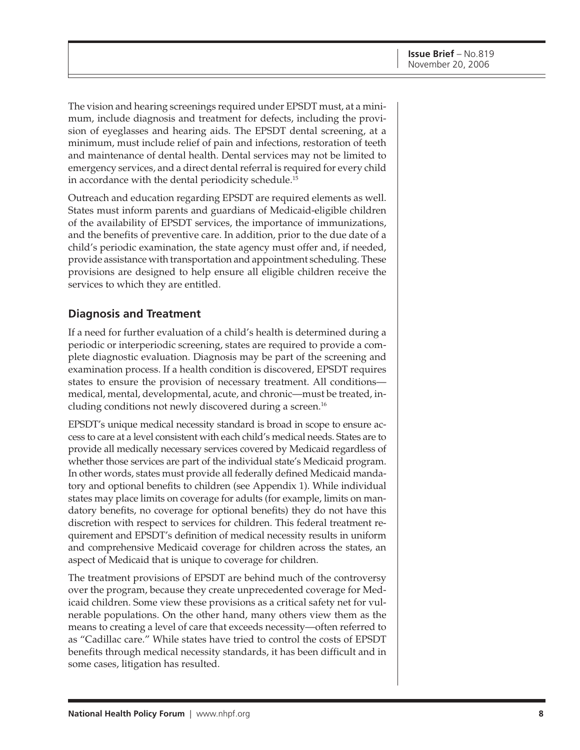The vision and hearing screenings required under EPSDT must, at a minimum, include diagnosis and treatment for defects, including the provision of eyeglasses and hearing aids. The EPSDT dental screening, at a minimum, must include relief of pain and infections, restoration of teeth and maintenance of dental health. Dental services may not be limited to emergency services, and a direct dental referral is required for every child in accordance with the dental periodicity schedule.<sup>15</sup>

Outreach and education regarding EPSDT are required elements as well. States must inform parents and guardians of Medicaid-eligible children of the availability of EPSDT services, the importance of immunizations, and the benefits of preventive care. In addition, prior to the due date of a child's periodic examination, the state agency must offer and, if needed, provide assistance with transportation and appointment scheduling. These provisions are designed to help ensure all eligible children receive the services to which they are entitled.

#### **Diagnosis and Treatment**

If a need for further evaluation of a child's health is determined during a periodic or interperiodic screening, states are required to provide a complete diagnostic evaluation. Diagnosis may be part of the screening and examination process. If a health condition is discovered, EPSDT requires states to ensure the provision of necessary treatment. All conditions medical, mental, developmental, acute, and chronic—must be treated, including conditions not newly discovered during a screen.16

EPSDT's unique medical necessity standard is broad in scope to ensure access to care at a level consistent with each child's medical needs. States are to provide all medically necessary services covered by Medicaid regardless of whether those services are part of the individual state's Medicaid program. In other words, states must provide all federally defined Medicaid mandatory and optional benefits to children (see Appendix 1). While individual states may place limits on coverage for adults (for example, limits on mandatory benefits, no coverage for optional benefits) they do not have this discretion with respect to services for children. This federal treatment requirement and EPSDT's definition of medical necessity results in uniform and comprehensive Medicaid coverage for children across the states, an aspect of Medicaid that is unique to coverage for children.

The treatment provisions of EPSDT are behind much of the controversy over the program, because they create unprecedented coverage for Medicaid children. Some view these provisions as a critical safety net for vulnerable populations. On the other hand, many others view them as the means to creating a level of care that exceeds necessity—often referred to as "Cadillac care." While states have tried to control the costs of EPSDT benefits through medical necessity standards, it has been difficult and in some cases, litigation has resulted.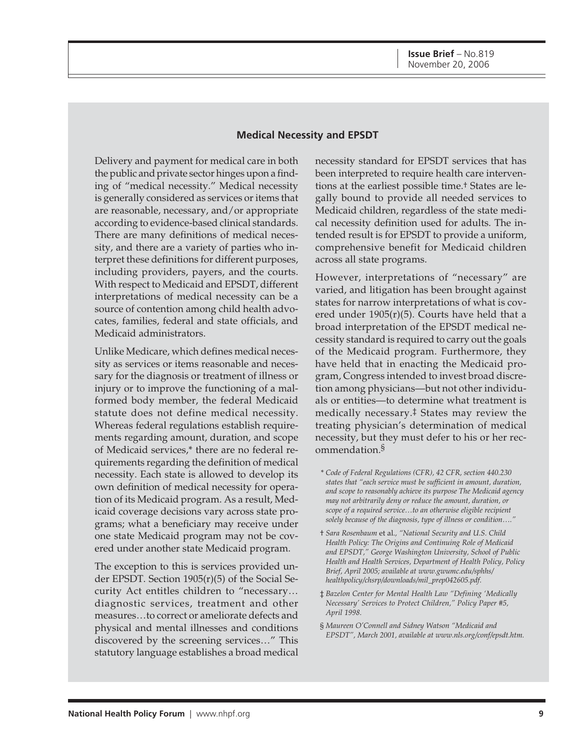#### **Medical Necessity and EPSDT**

Delivery and payment for medical care in both the public and private sector hinges upon a finding of "medical necessity." Medical necessity is generally considered as services or items that are reasonable, necessary, and/or appropriate according to evidence-based clinical standards. There are many definitions of medical necessity, and there are a variety of parties who interpret these definitions for different purposes, including providers, payers, and the courts. With respect to Medicaid and EPSDT, different interpretations of medical necessity can be a source of contention among child health advocates, families, federal and state officials, and Medicaid administrators.

Unlike Medicare, which defines medical necessity as services or items reasonable and necessary for the diagnosis or treatment of illness or injury or to improve the functioning of a malformed body member, the federal Medicaid statute does not define medical necessity. Whereas federal regulations establish requirements regarding amount, duration, and scope of Medicaid services,\* there are no federal requirements regarding the definition of medical necessity. Each state is allowed to develop its own definition of medical necessity for operation of its Medicaid program. As a result, Medicaid coverage decisions vary across state programs; what a beneficiary may receive under one state Medicaid program may not be covered under another state Medicaid program.

The exception to this is services provided under EPSDT. Section 1905(r)(5) of the Social Security Act entitles children to "necessary… diagnostic services, treatment and other measures…to correct or ameliorate defects and physical and mental illnesses and conditions discovered by the screening services…" This statutory language establishes a broad medical

necessity standard for EPSDT services that has been interpreted to require health care interventions at the earliest possible time.† States are legally bound to provide all needed services to Medicaid children, regardless of the state medical necessity definition used for adults. The intended result is for EPSDT to provide a uniform, comprehensive benefit for Medicaid children across all state programs.

However, interpretations of "necessary" are varied, and litigation has been brought against states for narrow interpretations of what is covered under 1905(r)(5). Courts have held that a broad interpretation of the EPSDT medical necessity standard is required to carry out the goals of the Medicaid program. Furthermore, they have held that in enacting the Medicaid program, Congress intended to invest broad discretion among physicians—but not other individuals or entities—to determine what treatment is medically necessary.‡ States may review the treating physician's determination of medical necessity, but they must defer to his or her recommendation.§

- \* *Code of Federal Regulations (CFR), 42 CFR, section 440.230 states that "each service must be sufficient in amount, duration, and scope to reasonably achieve its purpose The Medicaid agency may not arbitrarily deny or reduce the amount, duration, or scope of a required service…to an otherwise eligible recipient solely because of the diagnosis, type of illness or condition…."*
- † *Sara Rosenbaum* et al.*, "National Security and U.S. Child Health Policy: The Origins and Continuing Role of Medicaid and EPSDT," George Washington University, School of Public Health and Health Services, Department of Health Policy, Policy Brief, April 2005; available at www.gwumc.edu/sphhs/ healthpolicy/chsrp/downloads/mil\_prep042605.pdf.*
- ‡ *Bazelon Center for Mental Health Law "Defining 'Medically Necessary' Services to Protect Children," Policy Paper #5, April 1998.*
- § *Maureen O'Connell and Sidney Watson "Medicaid and EPSDT", March 2001, available at www.nls.org/conf/epsdt.htm.*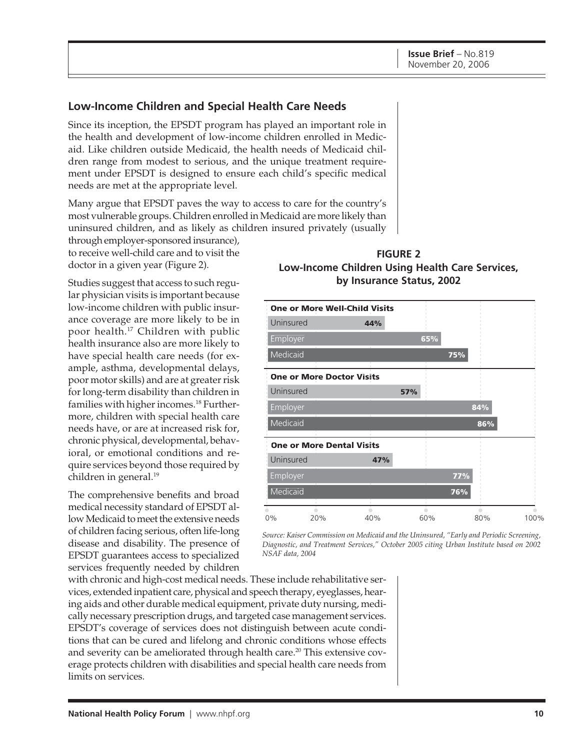#### **Low-Income Children and Special Health Care Needs**

Since its inception, the EPSDT program has played an important role in the health and development of low-income children enrolled in Medicaid. Like children outside Medicaid, the health needs of Medicaid children range from modest to serious, and the unique treatment requirement under EPSDT is designed to ensure each child's specific medical needs are met at the appropriate level.

Many argue that EPSDT paves the way to access to care for the country's most vulnerable groups. Children enrolled in Medicaid are more likely than uninsured children, and as likely as children insured privately (usually

through employer-sponsored insurance), to receive well-child care and to visit the doctor in a given year (Figure 2).

Studies suggest that access to such regular physician visits is important because low-income children with public insurance coverage are more likely to be in poor health.17 Children with public health insurance also are more likely to have special health care needs (for example, asthma, developmental delays, poor motor skills) and are at greater risk for long-term disability than children in families with higher incomes.18 Furthermore, children with special health care needs have, or are at increased risk for, chronic physical, developmental, behavioral, or emotional conditions and require services beyond those required by children in general.<sup>19</sup>

The comprehensive benefits and broad medical necessity standard of EPSDT allow Medicaid to meet the extensive needs of children facing serious, often life-long disease and disability. The presence of EPSDT guarantees access to specialized services frequently needed by children

with chronic and high-cost medical needs. These include rehabilitative services, extended inpatient care, physical and speech therapy, eyeglasses, hearing aids and other durable medical equipment, private duty nursing, medically necessary prescription drugs, and targeted case management services. EPSDT's coverage of services does not distinguish between acute conditions that can be cured and lifelong and chronic conditions whose effects and severity can be ameliorated through health care.<sup>20</sup> This extensive coverage protects children with disabilities and special health care needs from limits on services.





*Source: Kaiser Commission on Medicaid and the Uninsured, "Early and Periodic Screening, Diagnostic, and Treatment Services," October 2005 citing Urban Institute based on 2002 NSAF data, 2004*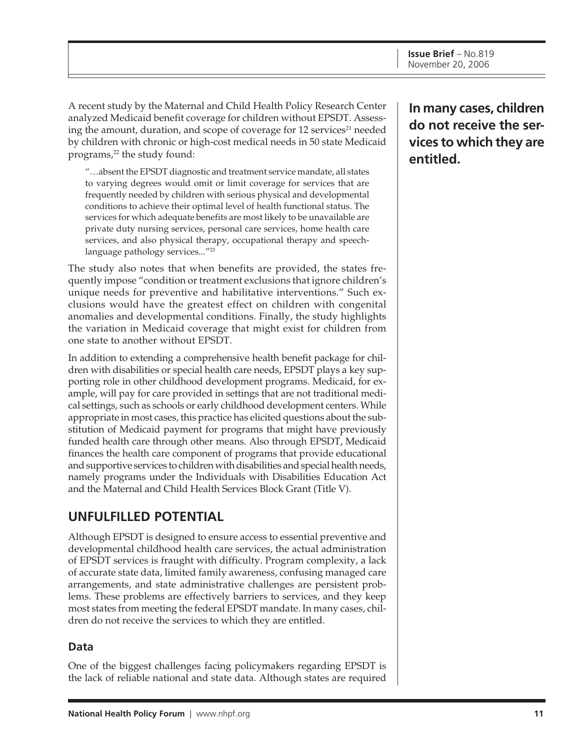A recent study by the Maternal and Child Health Policy Research Center analyzed Medicaid benefit coverage for children without EPSDT. Assessing the amount, duration, and scope of coverage for 12 services<sup>21</sup> needed by children with chronic or high-cost medical needs in 50 state Medicaid programs,<sup>22</sup> the study found:

"…absent the EPSDT diagnostic and treatment service mandate, all states to varying degrees would omit or limit coverage for services that are frequently needed by children with serious physical and developmental conditions to achieve their optimal level of health functional status. The services for which adequate benefits are most likely to be unavailable are private duty nursing services, personal care services, home health care services, and also physical therapy, occupational therapy and speechlanguage pathology services..."23

The study also notes that when benefits are provided, the states frequently impose "condition or treatment exclusions that ignore children's unique needs for preventive and habilitative interventions." Such exclusions would have the greatest effect on children with congenital anomalies and developmental conditions. Finally, the study highlights the variation in Medicaid coverage that might exist for children from one state to another without EPSDT.

In addition to extending a comprehensive health benefit package for children with disabilities or special health care needs, EPSDT plays a key supporting role in other childhood development programs. Medicaid, for example, will pay for care provided in settings that are not traditional medical settings, such as schools or early childhood development centers. While appropriate in most cases, this practice has elicited questions about the substitution of Medicaid payment for programs that might have previously funded health care through other means. Also through EPSDT, Medicaid finances the health care component of programs that provide educational and supportive services to children with disabilities and special health needs, namely programs under the Individuals with Disabilities Education Act and the Maternal and Child Health Services Block Grant (Title V).

## **UNFULFILLED POTENTIAL**

Although EPSDT is designed to ensure access to essential preventive and developmental childhood health care services, the actual administration of EPSDT services is fraught with difficulty. Program complexity, a lack of accurate state data, limited family awareness, confusing managed care arrangements, and state administrative challenges are persistent problems. These problems are effectively barriers to services, and they keep most states from meeting the federal EPSDT mandate. In many cases, children do not receive the services to which they are entitled.

#### **Data**

One of the biggest challenges facing policymakers regarding EPSDT is the lack of reliable national and state data. Although states are required **In many cases, children do not receive the services to which they are entitled.**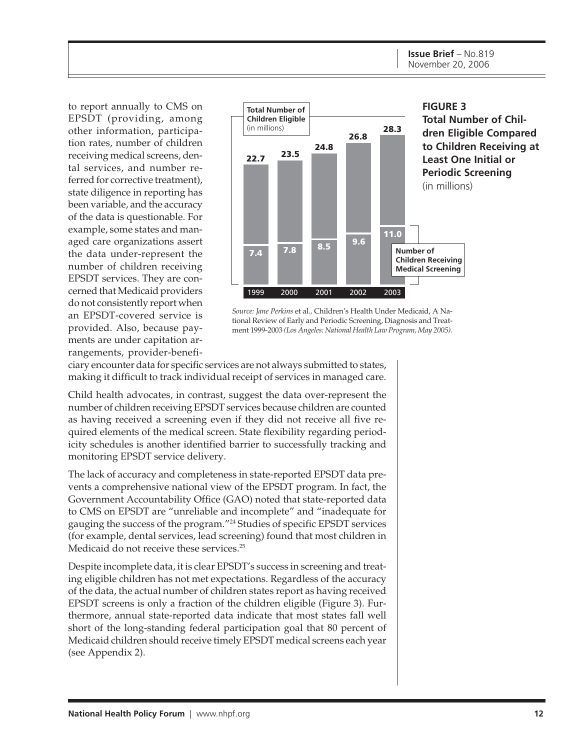to report annually to CMS on EPSDT (providing, among other information, participation rates, number of children receiving medical screens, dental services, and number referred for corrective treatment), state diligence in reporting has been variable, and the accuracy of the data is questionable. For example, some states and managed care organizations assert the data under-represent the number of children receiving EPSDT services. They are concerned that Medicaid providers do not consistently report when an EPSDT-covered service is provided. Also, because payments are under capitation arrangements, provider-benefi-



*Source: Jane Perkins* et al.*,* Children's Health Under Medicaid, A National Review of Early and Periodic Screening, Diagnosis and Treatment 1999-2003 *(Los Angeles: National Health Law Program, May 2005).*

ciary encounter data for specific services are not always submitted to states, making it difficult to track individual receipt of services in managed care.

Child health advocates, in contrast, suggest the data over-represent the number of children receiving EPSDT services because children are counted as having received a screening even if they did not receive all five required elements of the medical screen. State flexibility regarding periodicity schedules is another identified barrier to successfully tracking and monitoring EPSDT service delivery.

The lack of accuracy and completeness in state-reported EPSDT data prevents a comprehensive national view of the EPSDT program. In fact, the Government Accountability Office (GAO) noted that state-reported data to CMS on EPSDT are "unreliable and incomplete" and "inadequate for gauging the success of the program."24 Studies of specific EPSDT services (for example, dental services, lead screening) found that most children in Medicaid do not receive these services.<sup>25</sup>

Despite incomplete data, it is clear EPSDT's success in screening and treating eligible children has not met expectations. Regardless of the accuracy of the data, the actual number of children states report as having received EPSDT screens is only a fraction of the children eligible (Figure 3). Furthermore, annual state-reported data indicate that most states fall well short of the long-standing federal participation goal that 80 percent of Medicaid children should receive timely EPSDT medical screens each year (see Appendix 2).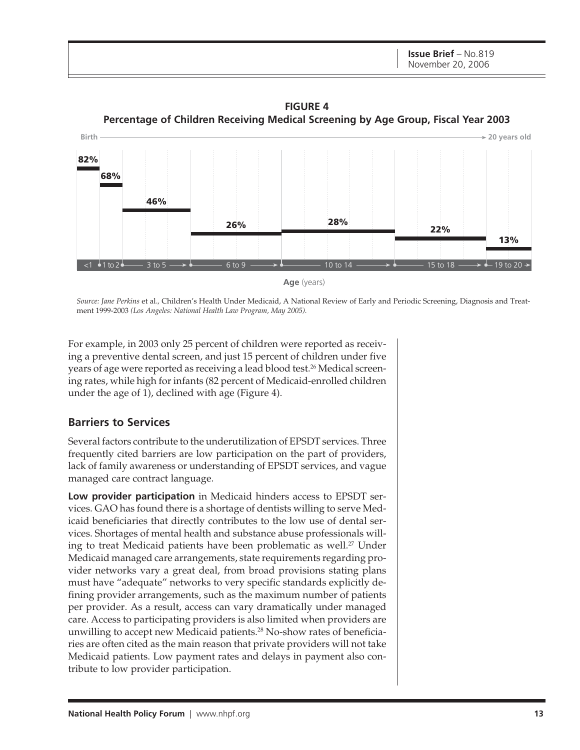**FIGURE 4 Percentage of Children Receiving Medical Screening by Age Group, Fiscal Year 2003**



*Source: Jane Perkins* et al.*,* Children's Health Under Medicaid, A National Review of Early and Periodic Screening, Diagnosis and Treatment 1999-2003 *(Los Angeles: National Health Law Program, May 2005).*

For example, in 2003 only 25 percent of children were reported as receiving a preventive dental screen, and just 15 percent of children under five years of age were reported as receiving a lead blood test.<sup>26</sup> Medical screening rates, while high for infants (82 percent of Medicaid-enrolled children under the age of 1), declined with age (Figure 4).

#### **Barriers to Services**

Several factors contribute to the underutilization of EPSDT services. Three frequently cited barriers are low participation on the part of providers, lack of family awareness or understanding of EPSDT services, and vague managed care contract language.

**Low provider participation** in Medicaid hinders access to EPSDT services. GAO has found there is a shortage of dentists willing to serve Medicaid beneficiaries that directly contributes to the low use of dental services. Shortages of mental health and substance abuse professionals willing to treat Medicaid patients have been problematic as well.<sup>27</sup> Under Medicaid managed care arrangements, state requirements regarding provider networks vary a great deal, from broad provisions stating plans must have "adequate" networks to very specific standards explicitly defining provider arrangements, such as the maximum number of patients per provider. As a result, access can vary dramatically under managed care. Access to participating providers is also limited when providers are unwilling to accept new Medicaid patients.<sup>28</sup> No-show rates of beneficiaries are often cited as the main reason that private providers will not take Medicaid patients. Low payment rates and delays in payment also contribute to low provider participation.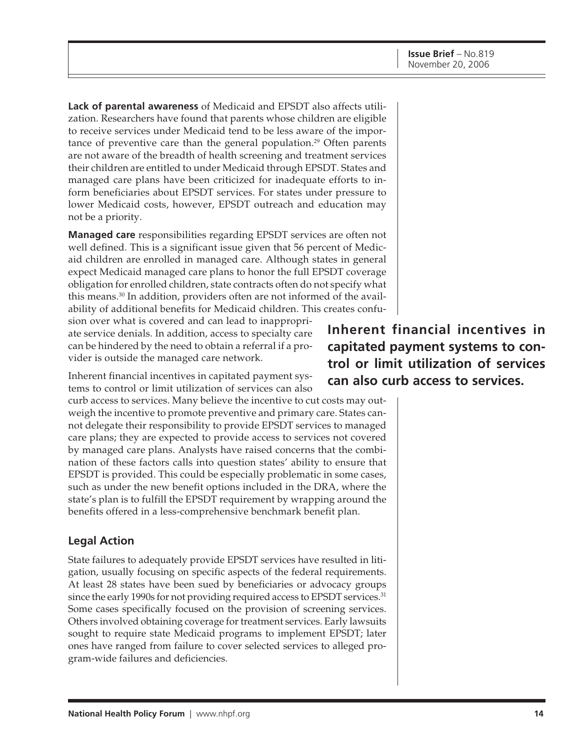**Lack of parental awareness** of Medicaid and EPSDT also affects utilization. Researchers have found that parents whose children are eligible to receive services under Medicaid tend to be less aware of the importance of preventive care than the general population.<sup>29</sup> Often parents are not aware of the breadth of health screening and treatment services their children are entitled to under Medicaid through EPSDT. States and managed care plans have been criticized for inadequate efforts to inform beneficiaries about EPSDT services. For states under pressure to lower Medicaid costs, however, EPSDT outreach and education may not be a priority.

**Managed care** responsibilities regarding EPSDT services are often not well defined. This is a significant issue given that 56 percent of Medicaid children are enrolled in managed care. Although states in general expect Medicaid managed care plans to honor the full EPSDT coverage obligation for enrolled children, state contracts often do not specify what this means.30 In addition, providers often are not informed of the availability of additional benefits for Medicaid children. This creates confusion over what is covered and can lead to inappropri-

ate service denials. In addition, access to specialty care can be hindered by the need to obtain a referral if a provider is outside the managed care network.

Inherent financial incentives in capitated payment systems to control or limit utilization of services can also

curb access to services. Many believe the incentive to cut costs may outweigh the incentive to promote preventive and primary care. States cannot delegate their responsibility to provide EPSDT services to managed care plans; they are expected to provide access to services not covered by managed care plans. Analysts have raised concerns that the combination of these factors calls into question states' ability to ensure that EPSDT is provided. This could be especially problematic in some cases, such as under the new benefit options included in the DRA, where the state's plan is to fulfill the EPSDT requirement by wrapping around the benefits offered in a less-comprehensive benchmark benefit plan.

#### **Legal Action**

State failures to adequately provide EPSDT services have resulted in litigation, usually focusing on specific aspects of the federal requirements. At least 28 states have been sued by beneficiaries or advocacy groups since the early 1990s for not providing required access to EPSDT services.<sup>31</sup> Some cases specifically focused on the provision of screening services. Others involved obtaining coverage for treatment services. Early lawsuits sought to require state Medicaid programs to implement EPSDT; later ones have ranged from failure to cover selected services to alleged program-wide failures and deficiencies.

**Inherent financial incentives in capitated payment systems to control or limit utilization of services can also curb access to services.**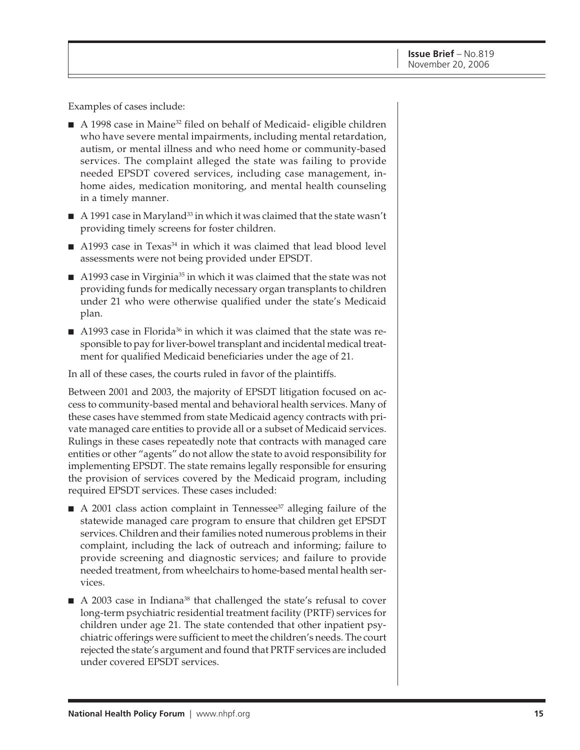Examples of cases include:

- A 1998 case in Maine<sup>32</sup> filed on behalf of Medicaid- eligible children who have severe mental impairments, including mental retardation, autism, or mental illness and who need home or community-based services. The complaint alleged the state was failing to provide needed EPSDT covered services, including case management, inhome aides, medication monitoring, and mental health counseling in a timely manner.
- $\blacksquare$  A 1991 case in Maryland<sup>33</sup> in which it was claimed that the state wasn't providing timely screens for foster children.
- A1993 case in Texas<sup>34</sup> in which it was claimed that lead blood level assessments were not being provided under EPSDT.
- A1993 case in Virginia<sup>35</sup> in which it was claimed that the state was not providing funds for medically necessary organ transplants to children under 21 who were otherwise qualified under the state's Medicaid plan.
- A1993 case in Florida<sup>36</sup> in which it was claimed that the state was responsible to pay for liver-bowel transplant and incidental medical treatment for qualified Medicaid beneficiaries under the age of 21.

In all of these cases, the courts ruled in favor of the plaintiffs.

Between 2001 and 2003, the majority of EPSDT litigation focused on access to community-based mental and behavioral health services. Many of these cases have stemmed from state Medicaid agency contracts with private managed care entities to provide all or a subset of Medicaid services. Rulings in these cases repeatedly note that contracts with managed care entities or other "agents" do not allow the state to avoid responsibility for implementing EPSDT. The state remains legally responsible for ensuring the provision of services covered by the Medicaid program, including required EPSDT services. These cases included:

- $\blacksquare$  A 2001 class action complaint in Tennessee<sup>37</sup> alleging failure of the statewide managed care program to ensure that children get EPSDT services. Children and their families noted numerous problems in their complaint, including the lack of outreach and informing; failure to provide screening and diagnostic services; and failure to provide needed treatment, from wheelchairs to home-based mental health services.
- A 2003 case in Indiana<sup>38</sup> that challenged the state's refusal to cover long-term psychiatric residential treatment facility (PRTF) services for children under age 21. The state contended that other inpatient psychiatric offerings were sufficient to meet the children's needs. The court rejected the state's argument and found that PRTF services are included under covered EPSDT services.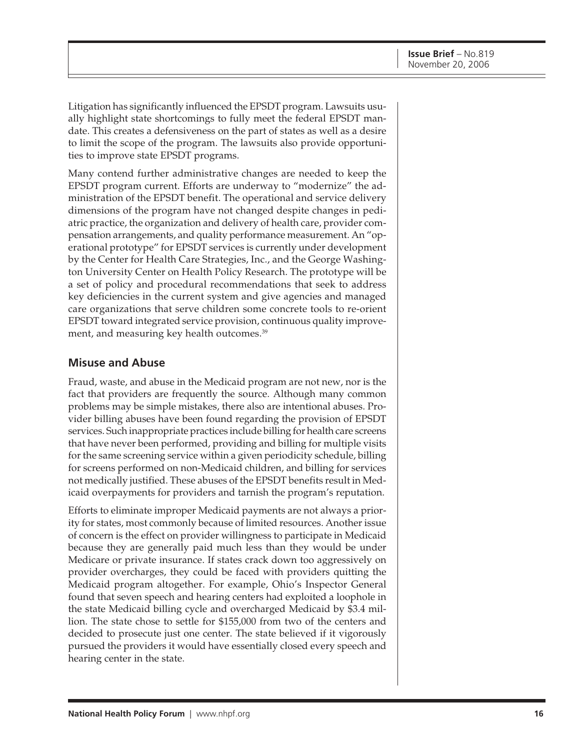Litigation has significantly influenced the EPSDT program. Lawsuits usually highlight state shortcomings to fully meet the federal EPSDT mandate. This creates a defensiveness on the part of states as well as a desire to limit the scope of the program. The lawsuits also provide opportunities to improve state EPSDT programs.

Many contend further administrative changes are needed to keep the EPSDT program current. Efforts are underway to "modernize" the administration of the EPSDT benefit. The operational and service delivery dimensions of the program have not changed despite changes in pediatric practice, the organization and delivery of health care, provider compensation arrangements, and quality performance measurement. An "operational prototype" for EPSDT services is currently under development by the Center for Health Care Strategies, Inc., and the George Washington University Center on Health Policy Research. The prototype will be a set of policy and procedural recommendations that seek to address key deficiencies in the current system and give agencies and managed care organizations that serve children some concrete tools to re-orient EPSDT toward integrated service provision, continuous quality improvement, and measuring key health outcomes.<sup>39</sup>

#### **Misuse and Abuse**

Fraud, waste, and abuse in the Medicaid program are not new, nor is the fact that providers are frequently the source. Although many common problems may be simple mistakes, there also are intentional abuses. Provider billing abuses have been found regarding the provision of EPSDT services. Such inappropriate practices include billing for health care screens that have never been performed, providing and billing for multiple visits for the same screening service within a given periodicity schedule, billing for screens performed on non-Medicaid children, and billing for services not medically justified. These abuses of the EPSDT benefits result in Medicaid overpayments for providers and tarnish the program's reputation.

Efforts to eliminate improper Medicaid payments are not always a priority for states, most commonly because of limited resources. Another issue of concern is the effect on provider willingness to participate in Medicaid because they are generally paid much less than they would be under Medicare or private insurance. If states crack down too aggressively on provider overcharges, they could be faced with providers quitting the Medicaid program altogether. For example, Ohio's Inspector General found that seven speech and hearing centers had exploited a loophole in the state Medicaid billing cycle and overcharged Medicaid by \$3.4 million. The state chose to settle for \$155,000 from two of the centers and decided to prosecute just one center. The state believed if it vigorously pursued the providers it would have essentially closed every speech and hearing center in the state.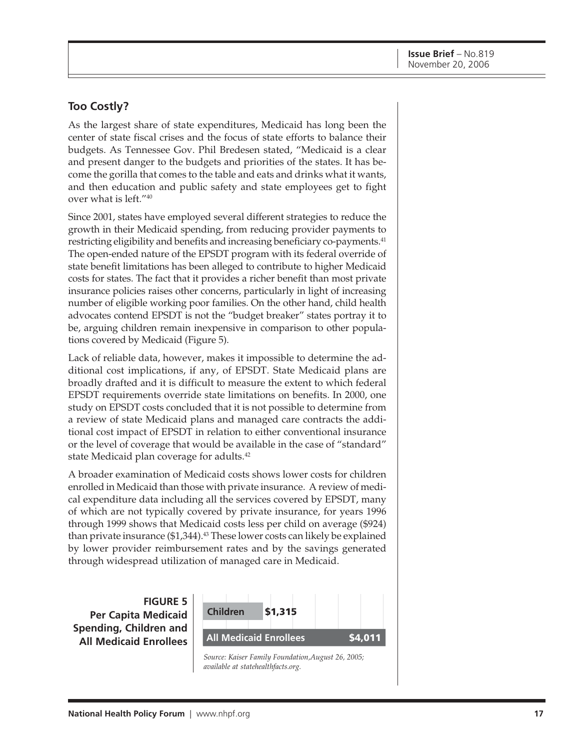#### **Too Costly?**

As the largest share of state expenditures, Medicaid has long been the center of state fiscal crises and the focus of state efforts to balance their budgets. As Tennessee Gov. Phil Bredesen stated, "Medicaid is a clear and present danger to the budgets and priorities of the states. It has become the gorilla that comes to the table and eats and drinks what it wants, and then education and public safety and state employees get to fight over what is left."40

Since 2001, states have employed several different strategies to reduce the growth in their Medicaid spending, from reducing provider payments to restricting eligibility and benefits and increasing beneficiary co-payments.<sup>41</sup> The open-ended nature of the EPSDT program with its federal override of state benefit limitations has been alleged to contribute to higher Medicaid costs for states. The fact that it provides a richer benefit than most private insurance policies raises other concerns, particularly in light of increasing number of eligible working poor families. On the other hand, child health advocates contend EPSDT is not the "budget breaker" states portray it to be, arguing children remain inexpensive in comparison to other populations covered by Medicaid (Figure 5).

Lack of reliable data, however, makes it impossible to determine the additional cost implications, if any, of EPSDT. State Medicaid plans are broadly drafted and it is difficult to measure the extent to which federal EPSDT requirements override state limitations on benefits. In 2000, one study on EPSDT costs concluded that it is not possible to determine from a review of state Medicaid plans and managed care contracts the additional cost impact of EPSDT in relation to either conventional insurance or the level of coverage that would be available in the case of "standard" state Medicaid plan coverage for adults.<sup>42</sup>

A broader examination of Medicaid costs shows lower costs for children enrolled in Medicaid than those with private insurance. A review of medical expenditure data including all the services covered by EPSDT, many of which are not typically covered by private insurance, for years 1996 through 1999 shows that Medicaid costs less per child on average (\$924) than private insurance (\$1,344).<sup>43</sup> These lower costs can likely be explained by lower provider reimbursement rates and by the savings generated through widespread utilization of managed care in Medicaid.

**FIGURE 5 Per Capita Medicaid Spending, Children and All Medicaid Enrollees**



*Source: Kaiser Family Foundation,August 26, 2005; available at statehealthfacts.org.*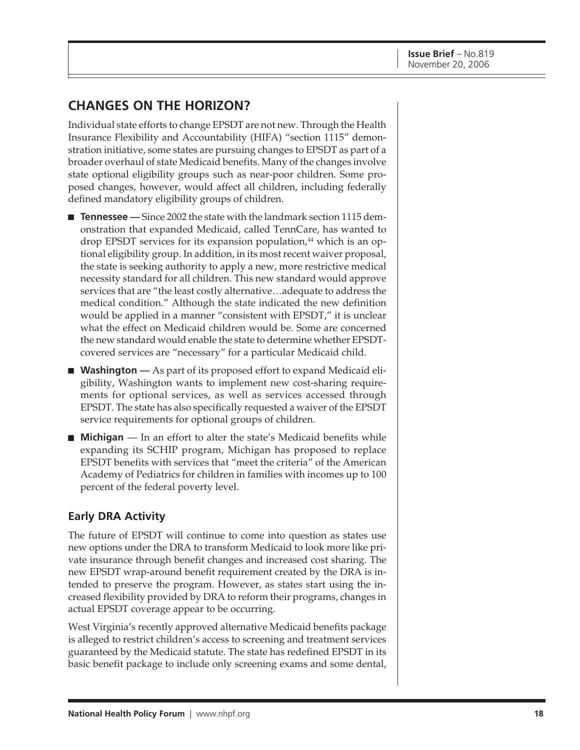## **CHANGES ON THE HORIZON?**

Individual state efforts to change EPSDT are not new. Through the Health Insurance Flexibility and Accountability (HIFA) "section 1115" demonstration initiative, some states are pursuing changes to EPSDT as part of a broader overhaul of state Medicaid benefits. Many of the changes involve state optional eligibility groups such as near-poor children. Some proposed changes, however, would affect all children, including federally defined mandatory eligibility groups of children.

- **Tennessee** Since 2002 the state with the landmark section 1115 demonstration that expanded Medicaid, called TennCare, has wanted to drop EPSDT services for its expansion population,<sup>44</sup> which is an optional eligibility group. In addition, in its most recent waiver proposal, the state is seeking authority to apply a new, more restrictive medical necessity standard for all children. This new standard would approve services that are "the least costly alternative…adequate to address the medical condition." Although the state indicated the new definition would be applied in a manner "consistent with EPSDT," it is unclear what the effect on Medicaid children would be. Some are concerned the new standard would enable the state to determine whether EPSDTcovered services are "necessary" for a particular Medicaid child.
- **Washington** As part of its proposed effort to expand Medicaid eligibility, Washington wants to implement new cost-sharing requirements for optional services, as well as services accessed through EPSDT. The state has also specifically requested a waiver of the EPSDT service requirements for optional groups of children.
- **Michigan** In an effort to alter the state's Medicaid benefits while expanding its SCHIP program, Michigan has proposed to replace EPSDT benefits with services that "meet the criteria" of the American Academy of Pediatrics for children in families with incomes up to 100 percent of the federal poverty level.

#### **Early DRA Activity**

The future of EPSDT will continue to come into question as states use new options under the DRA to transform Medicaid to look more like private insurance through benefit changes and increased cost sharing. The new EPSDT wrap-around benefit requirement created by the DRA is intended to preserve the program. However, as states start using the increased flexibility provided by DRA to reform their programs, changes in actual EPSDT coverage appear to be occurring.

West Virginia's recently approved alternative Medicaid benefits package is alleged to restrict children's access to screening and treatment services guaranteed by the Medicaid statute. The state has redefined EPSDT in its basic benefit package to include only screening exams and some dental,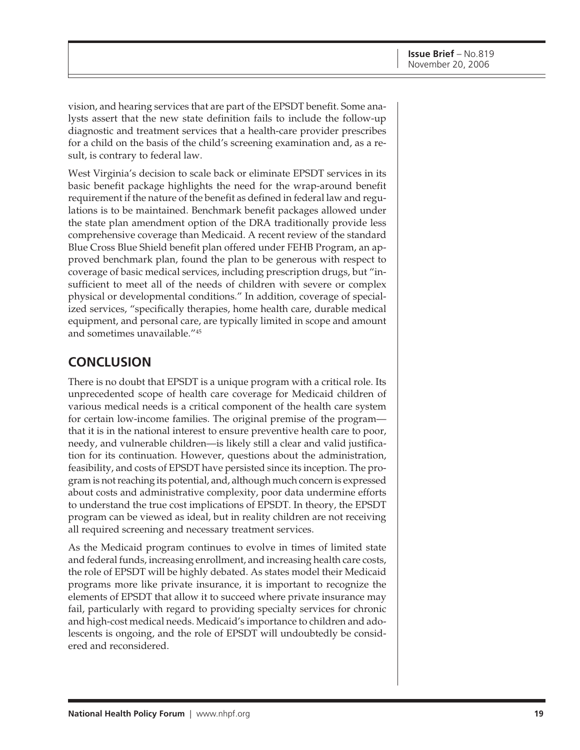vision, and hearing services that are part of the EPSDT benefit. Some analysts assert that the new state definition fails to include the follow-up diagnostic and treatment services that a health-care provider prescribes for a child on the basis of the child's screening examination and, as a result, is contrary to federal law.

West Virginia's decision to scale back or eliminate EPSDT services in its basic benefit package highlights the need for the wrap-around benefit requirement if the nature of the benefit as defined in federal law and regulations is to be maintained. Benchmark benefit packages allowed under the state plan amendment option of the DRA traditionally provide less comprehensive coverage than Medicaid. A recent review of the standard Blue Cross Blue Shield benefit plan offered under FEHB Program, an approved benchmark plan, found the plan to be generous with respect to coverage of basic medical services, including prescription drugs, but "insufficient to meet all of the needs of children with severe or complex physical or developmental conditions." In addition, coverage of specialized services, "specifically therapies, home health care, durable medical equipment, and personal care, are typically limited in scope and amount and sometimes unavailable."45

### **CONCLUSION**

There is no doubt that EPSDT is a unique program with a critical role. Its unprecedented scope of health care coverage for Medicaid children of various medical needs is a critical component of the health care system for certain low-income families. The original premise of the program that it is in the national interest to ensure preventive health care to poor, needy, and vulnerable children—is likely still a clear and valid justification for its continuation. However, questions about the administration, feasibility, and costs of EPSDT have persisted since its inception. The program is not reaching its potential, and, although much concern is expressed about costs and administrative complexity, poor data undermine efforts to understand the true cost implications of EPSDT. In theory, the EPSDT program can be viewed as ideal, but in reality children are not receiving all required screening and necessary treatment services.

As the Medicaid program continues to evolve in times of limited state and federal funds, increasing enrollment, and increasing health care costs, the role of EPSDT will be highly debated. As states model their Medicaid programs more like private insurance, it is important to recognize the elements of EPSDT that allow it to succeed where private insurance may fail, particularly with regard to providing specialty services for chronic and high-cost medical needs. Medicaid's importance to children and adolescents is ongoing, and the role of EPSDT will undoubtedly be considered and reconsidered.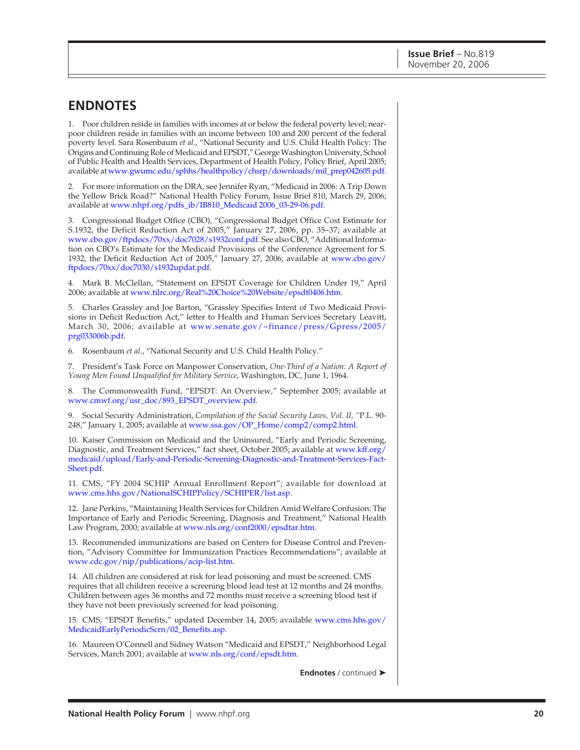### **ENDNOTES**

1. Poor children reside in families with incomes at or below the federal poverty level; nearpoor children reside in families with an income between 100 and 200 percent of the federal poverty level. Sara Rosenbaum *et al.*, "National Security and U.S. Child Health Policy: The Origins and Continuing Role of Medicaid and EPSDT," George Washington University, School of Public Health and Health Services, Department of Health Policy, Policy Brief, April 2005; available at [www.gwumc.edu/sphhs/healthpolicy/chsrp/downloads/mil\\_prep042605.pdf.](http://www.gwumc.edu/sphhs/healthpolicy/chsrp/downloads/mil_prep042605.pdf)

2. For more information on the DRA, see Jennifer Ryan, "Medicaid in 2006: A Trip Down the Yellow Brick Road?" National Health Policy Forum, Issue Brief 810, March 29, 2006; available at [www.nhpf.org/pdfs\\_ib/IB810\\_Medicaid 2006\\_03-29-06.pdf.](http://www.nhpf.org/pdfs_ib/IB810_Medicaid 2006_03-29-06.pdf)

3. Congressional Budget Office (CBO), "Congressional Budget Office Cost Estimate for S.1932, the Deficit Reduction Act of 2005," January 27, 2006, pp. 35–37; available at [www.cbo.gov/ftpdocs/70xx/doc7028/s1932conf.pdf.](http://www.cbo.gov/ftpdocs/70xx/doc7028/s1932conf.pdf) See also CBO, "Additional Information on CBO's Estimate for the Medicaid Provisions of the Conference Agreement for S. [1932, the Deficit Reduction Act of 2005," January 27, 2006; available at www.cbo.gov/](http://www.cbo.gov/ftpdocs/70xx/doc7030/s1932updat.pdf) ftpdocs/70xx/doc7030/s1932updat.pdf.

4. Mark B. McClellan, "Statement on EPSDT Coverage for Children Under 19," April 2006; available at [www.tilrc.org/Real%20Choice%20Website/epsdt0406.htm.](http://www.tilrc.org/Real%20Choice%20Website/epsdt0406.htm)

5. Charles Grassley and Joe Barton, "Grassley Specifies Intent of Two Medicaid Provisions in Deficit Reduction Act," letter to Health and Human Services Secretary Leavitt, [March 30, 2006; available at www.senate.gov/~finance/press/Gpress/2005/](http://www.senate.gov/~finance/press/Gpress/2005/prg033006b.pdf) prg033006b.pdf.

6. Rosenbaum *et al.*, "National Security and U.S. Child Health Policy."

7. President's Task Force on Manpower Conservation, *One-Third of a Nation: A Report of Young Men Found Unqualified for Military Service*, Washington, DC, June 1, 1964.

8. The Commonwealth Fund, "EPSDT: An Overview," September 2005; available at [www.cmwf.org/usr\\_doc/893\\_EPSDT\\_overview.pdf.](http://www.cmwf.org/usr_doc/893_EPSDT_overview.pdf)

9. Social Security Administration, *Compilation of the Social Security Laws, Vol. II, "*P.L. 90- 248," January 1, 2005; available at [www.ssa.gov/OP\\_Home/comp2/comp2.html.](http://www.ssa.gov/OP_Home/comp2/comp2.html)

10. Kaiser Commission on Medicaid and the Uninsured, "Early and Periodic Screening, [Diagnostic, and Treatment Services," fact sheet, October 2005; available at www.kff.org/](http://www.kff.org/medicaid/upload/Early-and-Periodic-Screening-Diagnostic-and-Treatment-Services-Fact-Sheet.pdf) medicaid/upload/Early-and-Periodic-Screening-Diagnostic-and-Treatment-Services-Fact-Sheet.pdf.

11. CMS, "FY 2004 SCHIP Annual Enrollment Report"; available for download at [www.cms.hhs.gov/NationalSCHIPPolicy/SCHIPER/list.asp.](http://www.cms.hhs.gov/NationalSCHIPPolicy/SCHIPER/list.asp)

12. Jane Perkins, "Maintaining Health Services for Children Amid Welfare Confusion: The Importance of Early and Periodic Screening, Diagnosis and Treatment," National Health Law Program, 2000; available at [www.nls.org/conf2000/epsdtar.htm.](http://www.nls.org/conf2000/epsdtar.htm)

13. Recommended immunizations are based on Centers for Disease Control and Prevention, "Advisory Committee for Immunization Practices Recommendations"; available at [www.cdc.gov/nip/publications/acip-list.htm.](http://www.cdc.gov/nip/publications/acip-list.htm)

14. All children are considered at risk for lead poisoning and must be screened. CMS requires that all children receive a screening blood lead test at 12 months and 24 months. Children between ages 36 months and 72 months must receive a screening blood test if they have not been previously screened for lead poisoning.

[15. CMS, "EPSDT Benefits," updated December 14, 2005; available www.cms.hhs.gov/](http://www.cms.hhs.gov/MedicaidEarlyPeriodicScrn/02_Benefits.asp) MedicaidEarlyPeriodicScrn/02\_Benefits.asp.

16. Maureen O'Connell and Sidney Watson "Medicaid and EPSDT," Neighborhood Legal Services, March 2001; available a[t www.nls.org/conf/epsdt.htm.](http://www.nls.org/conf/epsdt.htm)

**Endnotes** / continued ➤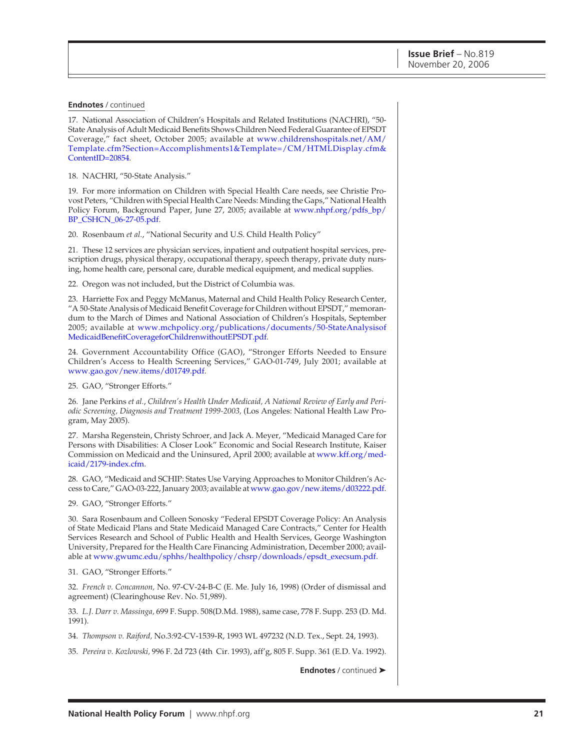#### **Endnotes** / continued

17. National Association of Children's Hospitals and Related Institutions (NACHRI), "50- State Analysis of Adult Medicaid Benefits Shows Children Need Federal Guarantee of EPSDT [Coverage," fact sheet, October 2005; available at www.childrenshospitals.net/AM/](http://www.childrenshospitals.net/AM/Template.cfm?Section=Accomplishments1&Template=/CM/HTMLDisplay.cfm&ContentID=20854) Template.cfm?Section=Accomplishments1&Template=/CM/HTMLDisplay.cfm& ContentID=20854.

18. NACHRI, "50-State Analysis."

19. For more information on Children with Special Health Care needs, see Christie Provost Peters, "Children with Special Health Care Needs: Minding the Gaps," National Health [Policy Forum, Background Paper, June 27, 2005; available at www.nhpf.org/pdfs\\_bp/](http://www.nhpf.org/pdfs_bp/BP_CSHCN_06-27-05.pdf) BP\_CSHCN\_06-27-05.pdf.

20. Rosenbaum *et al.*, "National Security and U.S. Child Health Policy"

21. These 12 services are physician services, inpatient and outpatient hospital services, prescription drugs, physical therapy, occupational therapy, speech therapy, private duty nursing, home health care, personal care, durable medical equipment, and medical supplies.

22. Oregon was not included, but the District of Columbia was.

23. Harriette Fox and Peggy McManus, Maternal and Child Health Policy Research Center, "A 50-State Analysis of Medicaid Benefit Coverage for Children without EPSDT," memorandum to the March of Dimes and National Association of Children's Hospitals, September [2005; available at www.mchpolicy.org/publications/documents/50-StateAnalysisof](http://www.mchpolicy.org/publications/documents/50-StateAnalysisofMedicaidBenefitCoverageforChildrenwithoutEPSDT.pdf) MedicaidBenefitCoverageforChildrenwithoutEPSDT.pdf.

24. Government Accountability Office (GAO), "Stronger Efforts Needed to Ensure Children's Access to Health Screening Services," GAO-01-749, July 2001; available at [www.gao.gov/new.items/d01749.pdf.](http://www.gao.gov/new.items/d01749.pdf)

25. GAO, "Stronger Efforts."

26. Jane Perkins *et al.*, *Children's Health Under Medicaid, A National Review of Early and Periodic Screening, Diagnosis and Treatment 1999-2003,* (Los Angeles: National Health Law Program, May 2005).

27. Marsha Regenstein, Christy Schroer, and Jack A. Meyer, "Medicaid Managed Care for Persons with Disabilities: A Closer Look" Economic and Social Research Institute, Kaiser [Commission on Medicaid and the Uninsured, April 2000; available at www.kff.org/med](http://www.kff.org/medicaid/2179-index.cfm)icaid/2179-index.cfm.

28. GAO, "Medicaid and SCHIP: States Use Varying Approaches to Monitor Children's Access to Care," GAO-03-222, January 2003; available [at www.gao.gov/new.items/d03222.pdf.](http://www.gao.gov/new.items/d03222.pdf)

29. GAO, "Stronger Efforts."

30. Sara Rosenbaum and Colleen Sonosky "Federal EPSDT Coverage Policy: An Analysis of State Medicaid Plans and State Medicaid Managed Care Contracts," Center for Health Services Research and School of Public Health and Health Services, George Washington University, Prepared for the Health Care Financing Administration, December 2000; available a[t www.gwumc.edu/sphhs/healthpolicy/chsrp/downloads/epsdt\\_execsum.pdf.](http://www.gwumc.edu/sphhs/healthpolicy/chsrp/downloads/epsdt_execsum.pdf)

31. GAO, "Stronger Efforts."

32. *French v. Concannon,* No. 97-CV-24-B-C (E. Me. July 16, 1998) (Order of dismissal and agreement) (Clearinghouse Rev. No. 51,989).

33. *L.J. Darr v. Massinga,* 699 F. Supp. 508(D.Md. 1988), same case, 778 F. Supp. 253 (D. Md. 1991).

34. *Thompson v. Raiford,* No.3:92-CV-1539-R, 1993 WL 497232 (N.D. Tex., Sept. 24, 1993).

35. *Pereira v. Kozlowski,* 996 F. 2d 723 (4th Cir. 1993), aff'g, 805 F. Supp. 361 (E.D. Va. 1992).

**Endnotes** / continued ➤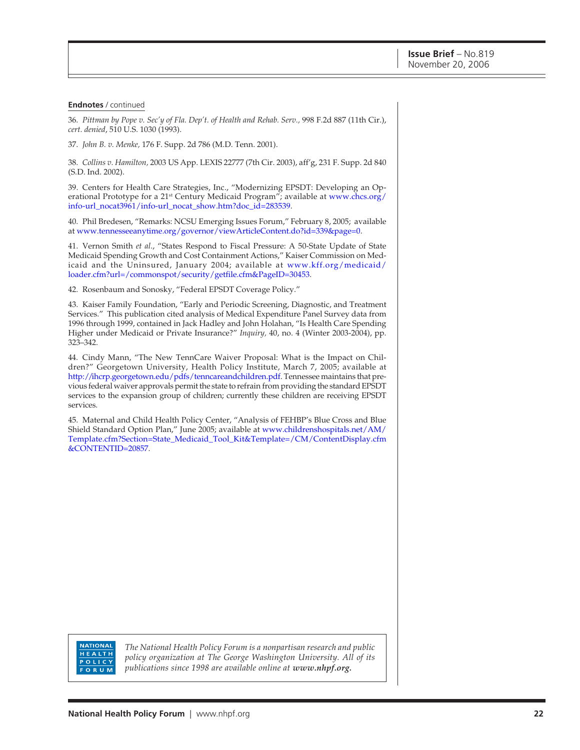#### **Endnotes** / continued

36. *Pittman by Pope v. Sec'y of Fla. Dep't. of Health and Rehab. Serv.,* 998 F.2d 887 (11th Cir.), *cert. denied*, 510 U.S. 1030 (1993).

37. *John B. v. Menke,* 176 F. Supp. 2d 786 (M.D. Tenn. 2001).

38. *Collins v. Hamilton,* 2003 US App. LEXIS 22777 (7th Cir. 2003), aff'g, 231 F. Supp. 2d 840 (S.D. Ind. 2002).

39. Centers for Health Care Strategies, Inc., "Modernizing EPSDT: Developing an Operational Prototype for a 21<sup>st</sup> Century Medicaid Program"; available at www.chcs.org/ info-url\_nocat3961/info-url\_nocat\_show.htm?doc\_id=283539.

40. Phil Bredesen, "Remarks: NCSU Emerging Issues Forum," February 8, 2005; available at [www.tennesseeanytime.org/governor/viewArticleContent.do?id=339&page=0.](http://www.tennesseeanytime.org/governor/viewArticleContent.do?id=339&page=0)

41. Vernon Smith *et al*., "States Respond to Fiscal Pressure: A 50-State Update of State Medicaid Spending Growth and Cost Containment Actions," Kaiser Commission on Med[icaid and the Uninsured, January 2004; available at www.kff.org/medicaid/](http://www.kff.org/medicaid/loader.cfm?url=/commonspot/security/getfile.cfm&PageID=30453) loader.cfm?url=/commonspot/security/getfile.cfm&PageID=30453.

42. Rosenbaum and Sonosky, "Federal EPSDT Coverage Policy."

43. Kaiser Family Foundation, "Early and Periodic Screening, Diagnostic, and Treatment Services." This publication cited analysis of Medical Expenditure Panel Survey data from 1996 through 1999, contained in Jack Hadley and John Holahan, "Is Health Care Spending Higher under Medicaid or Private Insurance?" *Inquiry,* 40, no. 4 (Winter 2003-2004), pp. 323–342.

44. Cindy Mann, "The New TennCare Waiver Proposal: What is the Impact on Children?" Georgetown University, Health Policy Institute, March 7, 2005; available at [http://ihcrp.georgetown.edu/pdfs/tenncareandchildren.pdf. T](http://ihcrp.georgetown.edu/pdfs/tenncareandchildren.pdf)ennessee maintains that previous federal waiver approvals permit the state to refrain from providing the standard EPSDT services to the expansion group of children; currently these children are receiving EPSDT services.

45. Maternal and Child Health Policy Center, "Analysis of FEHBP's Blue Cross and Blue Shield Standard Option Plan," June 2005; available at www.childrenshospitals.net/AM/ [Template.cfm?Section=State\\_Medicaid\\_Tool\\_Kit&Template=/CM/ContentDisplay.cfm](http://www.childrenshospitals.net/AM/Template.cfm?Section=State_Medicaid_Tool_Kit&Template=/CM/ContentDisplay.cfm&CONTENTID=20857) &CONTENTID=20857.

**NATIONAL** HEALTH POLICY FORUM

*The National Health Policy Forum is a nonpartisan research and public policy organization at The George Washington University. All of its publications since 1998 are available online at www.nhpf.org.*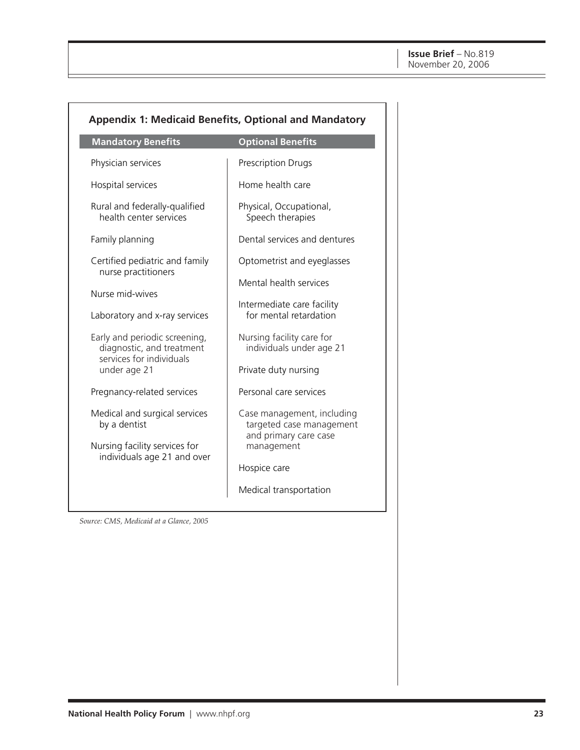| <b>Appendix 1: Medicaid Benefits, Optional and Mandatory</b>                                                  |                                                                                               |  |  |  |
|---------------------------------------------------------------------------------------------------------------|-----------------------------------------------------------------------------------------------|--|--|--|
| <b>Mandatory Benefits</b>                                                                                     | <b>Optional Benefits</b>                                                                      |  |  |  |
| Physician services                                                                                            | Prescription Drugs                                                                            |  |  |  |
| Hospital services                                                                                             | Home health care                                                                              |  |  |  |
| Rural and federally-qualified<br>health center services                                                       | Physical, Occupational,<br>Speech therapies                                                   |  |  |  |
| Family planning                                                                                               | Dental services and dentures                                                                  |  |  |  |
| Certified pediatric and family                                                                                | Optometrist and eyeglasses                                                                    |  |  |  |
| nurse practitioners<br>Nurse mid-wives<br>Laboratory and x-ray services                                       | Mental health services<br>Intermediate care facility<br>for mental retardation                |  |  |  |
| Early and periodic screening,<br>diagnostic, and treatment<br>services for individuals<br>under age 21        | Nursing facility care for<br>individuals under age 21<br>Private duty nursing                 |  |  |  |
| Pregnancy-related services                                                                                    | Personal care services                                                                        |  |  |  |
| Medical and surgical services<br>by a dentist<br>Nursing facility services for<br>individuals age 21 and over | Case management, including<br>targeted case management<br>and primary care case<br>management |  |  |  |
|                                                                                                               | Hospice care                                                                                  |  |  |  |
|                                                                                                               | Medical transportation                                                                        |  |  |  |

*Source: CMS, Medicaid at a Glance, 2005*